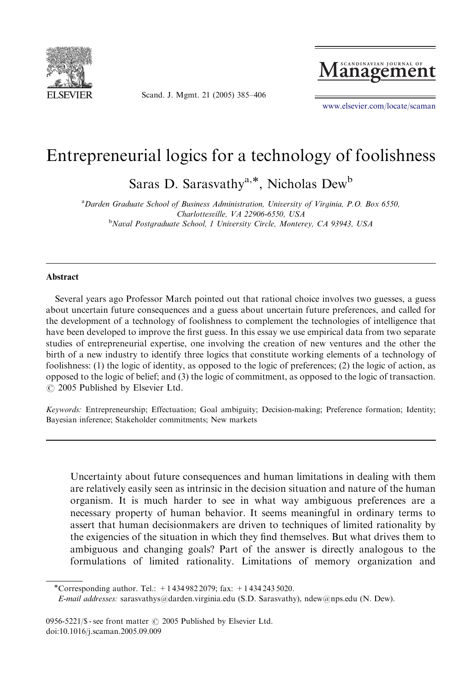

Scand. J. Mgmt. 21 (2005) 385–406



<www.elsevier.com/locate/scaman>

# Entrepreneurial logics for a technology of foolishness

Saras D. Sarasvathy<sup>a,\*</sup>, Nicholas Dew<sup>b</sup>

<sup>a</sup>Darden Graduate School of Business Administration, University of Virginia, P.O. Box 6550, Charlottesville, VA 22906-6550, USA <sup>b</sup>Naval Postgraduate School, 1 University Circle, Monterey, CA 93943, USA

#### **Abstract**

Several years ago Professor March pointed out that rational choice involves two guesses, a guess about uncertain future consequences and a guess about uncertain future preferences, and called for the development of a technology of foolishness to complement the technologies of intelligence that have been developed to improve the first guess. In this essay we use empirical data from two separate studies of entrepreneurial expertise, one involving the creation of new ventures and the other the birth of a new industry to identify three logics that constitute working elements of a technology of foolishness: (1) the logic of identity, as opposed to the logic of preferences; (2) the logic of action, as opposed to the logic of belief; and (3) the logic of commitment, as opposed to the logic of transaction.  $O$  2005 Published by Elsevier Ltd.

Keywords: Entrepreneurship; Effectuation; Goal ambiguity; Decision-making; Preference formation; Identity; Bayesian inference; Stakeholder commitments; New markets

Uncertainty about future consequences and human limitations in dealing with them are relatively easily seen as intrinsic in the decision situation and nature of the human organism. It is much harder to see in what way ambiguous preferences are a necessary property of human behavior. It seems meaningful in ordinary terms to assert that human decisionmakers are driven to techniques of limited rationality by the exigencies of the situation in which they find themselves. But what drives them to ambiguous and changing goals? Part of the answer is directly analogous to the formulations of limited rationality. Limitations of memory organization and

0956-5221/\$ - see front matter  $\odot$  2005 Published by Elsevier Ltd. doi:10.1016/j.scaman.2005.09.009

<sup>\*</sup>Corresponding author. Tel.:  $+14349822079$ ; fax:  $+14342435020$ .

E-mail addresses: sarasvathys@darden.virginia.edu (S.D. Sarasvathy), ndew@nps.edu (N. Dew).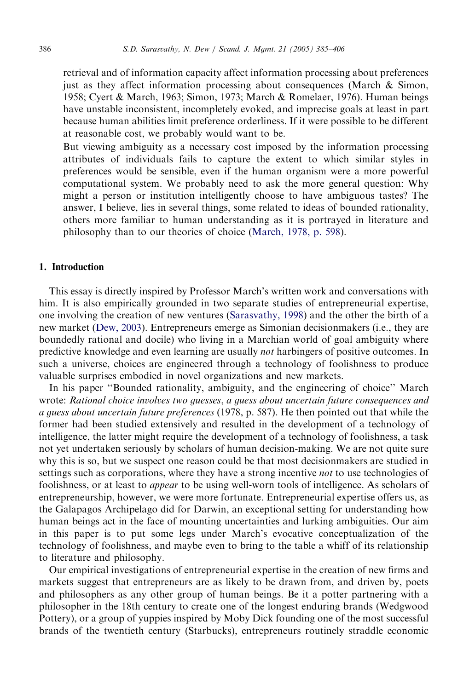retrieval and of information capacity affect information processing about preferences just as they affect information processing about consequences (March & Simon, 1958; Cyert & March, 1963; Simon, 1973; March & Romelaer, 1976). Human beings have unstable inconsistent, incompletely evoked, and imprecise goals at least in part because human abilities limit preference orderliness. If it were possible to be different at reasonable cost, we probably would want to be.

But viewing ambiguity as a necessary cost imposed by the information processing attributes of individuals fails to capture the extent to which similar styles in preferences would be sensible, even if the human organism were a more powerful computational system. We probably need to ask the more general question: Why might a person or institution intelligently choose to have ambiguous tastes? The answer, I believe, lies in several things, some related to ideas of bounded rationality, others more familiar to human understanding as it is portrayed in literature and philosophy than to our theories of choice [\(March, 1978, p. 598](#page-20-0)).

# 1. Introduction

This essay is directly inspired by Professor March's written work and conversations with him. It is also empirically grounded in two separate studies of entrepreneurial expertise, one involving the creation of new ventures [\(Sarasvathy, 1998](#page-20-0)) and the other the birth of a new market [\(Dew, 2003](#page-20-0)). Entrepreneurs emerge as Simonian decisionmakers (i.e., they are boundedly rational and docile) who living in a Marchian world of goal ambiguity where predictive knowledge and even learning are usually not harbingers of positive outcomes. In such a universe, choices are engineered through a technology of foolishness to produce valuable surprises embodied in novel organizations and new markets.

In his paper ''Bounded rationality, ambiguity, and the engineering of choice'' March wrote: Rational choice involves two guesses, a guess about uncertain future consequences and a guess about uncertain future preferences (1978, p. 587). He then pointed out that while the former had been studied extensively and resulted in the development of a technology of intelligence, the latter might require the development of a technology of foolishness, a task not yet undertaken seriously by scholars of human decision-making. We are not quite sure why this is so, but we suspect one reason could be that most decisionmakers are studied in settings such as corporations, where they have a strong incentive *not* to use technologies of foolishness, or at least to appear to be using well-worn tools of intelligence. As scholars of entrepreneurship, however, we were more fortunate. Entrepreneurial expertise offers us, as the Galapagos Archipelago did for Darwin, an exceptional setting for understanding how human beings act in the face of mounting uncertainties and lurking ambiguities. Our aim in this paper is to put some legs under March's evocative conceptualization of the technology of foolishness, and maybe even to bring to the table a whiff of its relationship to literature and philosophy.

Our empirical investigations of entrepreneurial expertise in the creation of new firms and markets suggest that entrepreneurs are as likely to be drawn from, and driven by, poets and philosophers as any other group of human beings. Be it a potter partnering with a philosopher in the 18th century to create one of the longest enduring brands (Wedgwood Pottery), or a group of yuppies inspired by Moby Dick founding one of the most successful brands of the twentieth century (Starbucks), entrepreneurs routinely straddle economic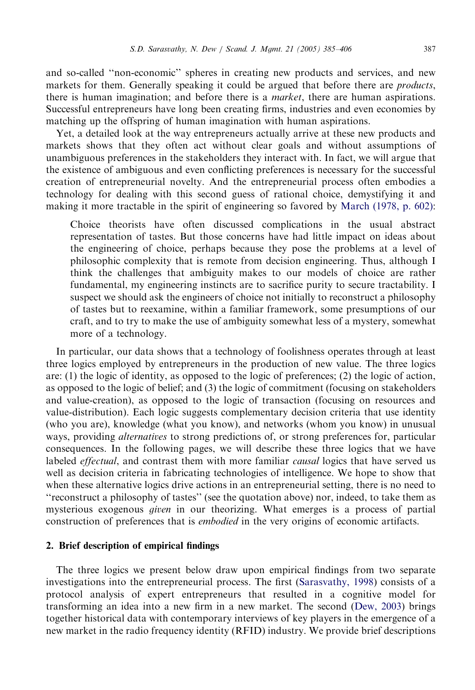and so-called ''non-economic'' spheres in creating new products and services, and new markets for them. Generally speaking it could be argued that before there are *products*, there is human imagination; and before there is a *market*, there are human aspirations. Successful entrepreneurs have long been creating firms, industries and even economies by matching up the offspring of human imagination with human aspirations.

Yet, a detailed look at the way entrepreneurs actually arrive at these new products and markets shows that they often act without clear goals and without assumptions of unambiguous preferences in the stakeholders they interact with. In fact, we will argue that the existence of ambiguous and even conflicting preferences is necessary for the successful creation of entrepreneurial novelty. And the entrepreneurial process often embodies a technology for dealing with this second guess of rational choice, demystifying it and making it more tractable in the spirit of engineering so favored by [March \(1978, p. 602\):](#page-20-0)

Choice theorists have often discussed complications in the usual abstract representation of tastes. But those concerns have had little impact on ideas about the engineering of choice, perhaps because they pose the problems at a level of philosophic complexity that is remote from decision engineering. Thus, although I think the challenges that ambiguity makes to our models of choice are rather fundamental, my engineering instincts are to sacrifice purity to secure tractability. I suspect we should ask the engineers of choice not initially to reconstruct a philosophy of tastes but to reexamine, within a familiar framework, some presumptions of our craft, and to try to make the use of ambiguity somewhat less of a mystery, somewhat more of a technology.

In particular, our data shows that a technology of foolishness operates through at least three logics employed by entrepreneurs in the production of new value. The three logics are: (1) the logic of identity, as opposed to the logic of preferences; (2) the logic of action, as opposed to the logic of belief; and (3) the logic of commitment (focusing on stakeholders and value-creation), as opposed to the logic of transaction (focusing on resources and value-distribution). Each logic suggests complementary decision criteria that use identity (who you are), knowledge (what you know), and networks (whom you know) in unusual ways, providing alternatives to strong predictions of, or strong preferences for, particular consequences. In the following pages, we will describe these three logics that we have labeled *effectual*, and contrast them with more familiar *causal* logics that have served us well as decision criteria in fabricating technologies of intelligence. We hope to show that when these alternative logics drive actions in an entrepreneurial setting, there is no need to ''reconstruct a philosophy of tastes'' (see the quotation above) nor, indeed, to take them as mysterious exogenous given in our theorizing. What emerges is a process of partial construction of preferences that is embodied in the very origins of economic artifacts.

# 2. Brief description of empirical findings

The three logics we present below draw upon empirical findings from two separate investigations into the entrepreneurial process. The first ([Sarasvathy, 1998](#page-20-0)) consists of a protocol analysis of expert entrepreneurs that resulted in a cognitive model for transforming an idea into a new firm in a new market. The second [\(Dew, 2003\)](#page-20-0) brings together historical data with contemporary interviews of key players in the emergence of a new market in the radio frequency identity (RFID) industry. We provide brief descriptions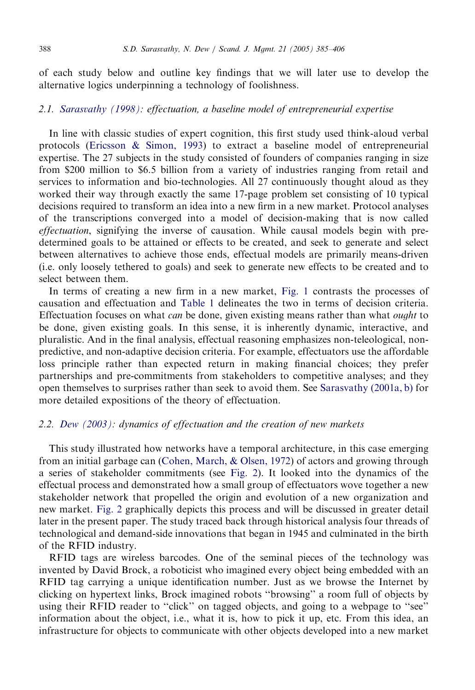of each study below and outline key findings that we will later use to develop the alternative logics underpinning a technology of foolishness.

### 2.1. [Sarasvathy \(1998\)](#page-20-0): effectuation, a baseline model of entrepreneurial expertise

In line with classic studies of expert cognition, this first study used think-aloud verbal protocols ([Ericsson](#page-20-0) & [Simon, 1993\)](#page-20-0) to extract a baseline model of entrepreneurial expertise. The 27 subjects in the study consisted of founders of companies ranging in size from \$200 million to \$6.5 billion from a variety of industries ranging from retail and services to information and bio-technologies. All 27 continuously thought aloud as they worked their way through exactly the same 17-page problem set consisting of 10 typical decisions required to transform an idea into a new firm in a new market. Protocol analyses of the transcriptions converged into a model of decision-making that is now called effectuation, signifying the inverse of causation. While causal models begin with predetermined goals to be attained or effects to be created, and seek to generate and select between alternatives to achieve those ends, effectual models are primarily means-driven (i.e. only loosely tethered to goals) and seek to generate new effects to be created and to select between them.

In terms of creating a new firm in a new market, [Fig. 1](#page-4-0) contrasts the processes of causation and effectuation and [Table 1](#page-5-0) delineates the two in terms of decision criteria. Effectuation focuses on what *can* be done, given existing means rather than what *ought* to be done, given existing goals. In this sense, it is inherently dynamic, interactive, and pluralistic. And in the final analysis, effectual reasoning emphasizes non-teleological, nonpredictive, and non-adaptive decision criteria. For example, effectuators use the affordable loss principle rather than expected return in making financial choices; they prefer partnerships and pre-commitments from stakeholders to competitive analyses; and they open themselves to surprises rather than seek to avoid them. See [Sarasvathy \(2001a, b\)](#page-20-0) for more detailed expositions of the theory of effectuation.

# 2.2. [Dew \(2003\):](#page-20-0) dynamics of effectuation and the creation of new markets

This study illustrated how networks have a temporal architecture, in this case emerging from an initial garbage can [\(Cohen, March, & Olsen, 1972](#page-20-0)) of actors and growing through a series of stakeholder commitments (see [Fig. 2\)](#page-6-0). It looked into the dynamics of the effectual process and demonstrated how a small group of effectuators wove together a new stakeholder network that propelled the origin and evolution of a new organization and new market. [Fig. 2](#page-6-0) graphically depicts this process and will be discussed in greater detail later in the present paper. The study traced back through historical analysis four threads of technological and demand-side innovations that began in 1945 and culminated in the birth of the RFID industry.

RFID tags are wireless barcodes. One of the seminal pieces of the technology was invented by David Brock, a roboticist who imagined every object being embedded with an RFID tag carrying a unique identification number. Just as we browse the Internet by clicking on hypertext links, Brock imagined robots ''browsing'' a room full of objects by using their RFID reader to "click" on tagged objects, and going to a webpage to "see" information about the object, i.e., what it is, how to pick it up, etc. From this idea, an infrastructure for objects to communicate with other objects developed into a new market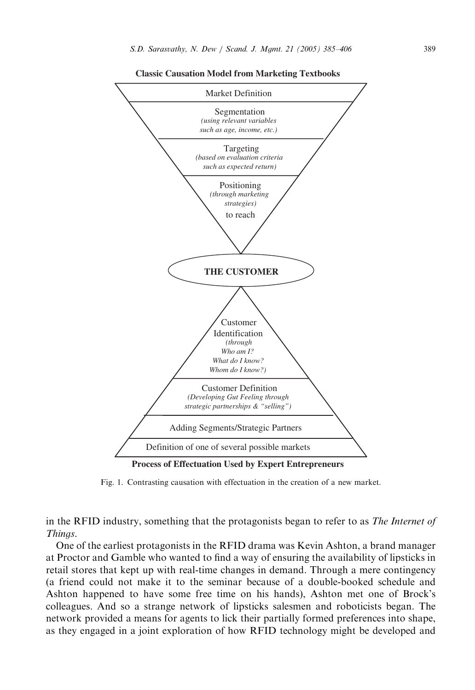<span id="page-4-0"></span>

**Classic Causation Model from Marketing Textbooks**

Fig. 1. Contrasting causation with effectuation in the creation of a new market.

in the RFID industry, something that the protagonists began to refer to as *The Internet of* Things.

One of the earliest protagonists in the RFID drama was Kevin Ashton, a brand manager at Proctor and Gamble who wanted to find a way of ensuring the availability of lipsticks in retail stores that kept up with real-time changes in demand. Through a mere contingency (a friend could not make it to the seminar because of a double-booked schedule and Ashton happened to have some free time on his hands), Ashton met one of Brock's colleagues. And so a strange network of lipsticks salesmen and roboticists began. The network provided a means for agents to lick their partially formed preferences into shape, as they engaged in a joint exploration of how RFID technology might be developed and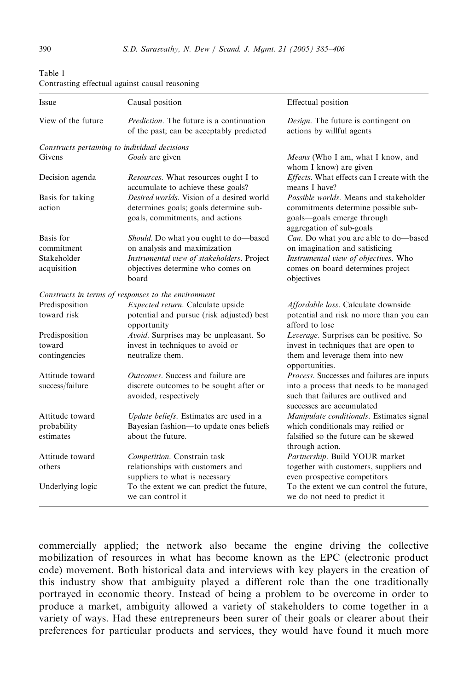| Issue                                         | Causal position                                                                                                        | Effectual position                                                                                                                             |
|-----------------------------------------------|------------------------------------------------------------------------------------------------------------------------|------------------------------------------------------------------------------------------------------------------------------------------------|
| View of the future                            | <i>Prediction</i> . The future is a continuation<br>of the past; can be acceptably predicted                           | Design. The future is contingent on<br>actions by willful agents                                                                               |
| Constructs pertaining to individual decisions |                                                                                                                        |                                                                                                                                                |
| Givens                                        | Goals are given                                                                                                        | Means (Who I am, what I know, and                                                                                                              |
| Decision agenda                               | Resources. What resources ought I to<br>accumulate to achieve these goals?                                             | whom I know) are given<br>Effects. What effects can I create with the<br>means I have?                                                         |
| Basis for taking<br>action                    | Desired worlds. Vision of a desired world<br>determines goals; goals determine sub-<br>goals, commitments, and actions | <i>Possible worlds.</i> Means and stakeholder<br>commitments determine possible sub-<br>goals-goals emerge through<br>aggregation of sub-goals |
| Basis for                                     | Should. Do what you ought to do-based                                                                                  | Can. Do what you are able to do-based                                                                                                          |
| commitment                                    | on analysis and maximization                                                                                           | on imagination and satisficing                                                                                                                 |
| Stakeholder<br>acquisition                    | Instrumental view of stakeholders. Project<br>objectives determine who comes on<br>board                               | Instrumental view of objectives. Who<br>comes on board determines project<br>objectives                                                        |
|                                               | Constructs in terms of responses to the environment                                                                    |                                                                                                                                                |
| Predisposition                                | Expected return. Calculate upside                                                                                      | Affordable loss. Calculate downside                                                                                                            |
| toward risk                                   | potential and pursue (risk adjusted) best<br>opportunity                                                               | potential and risk no more than you can<br>afford to lose                                                                                      |
| Predisposition                                | Avoid. Surprises may be unpleasant. So                                                                                 | Leverage. Surprises can be positive. So                                                                                                        |
| toward                                        | invest in techniques to avoid or<br>neutralize them.                                                                   | invest in techniques that are open to                                                                                                          |
| contingencies                                 |                                                                                                                        | them and leverage them into new<br>opportunities.                                                                                              |
| Attitude toward                               | <i>Outcomes</i> . Success and failure are                                                                              | Process. Successes and failures are inputs                                                                                                     |
| success/failure                               | discrete outcomes to be sought after or<br>avoided, respectively                                                       | into a process that needs to be managed<br>such that failures are outlived and<br>successes are accumulated                                    |
| Attitude toward                               | Update beliefs. Estimates are used in a                                                                                | Manipulate conditionals. Estimates signal                                                                                                      |
| probability                                   | Bayesian fashion-to update ones beliefs                                                                                | which conditionals may reified or                                                                                                              |
| estimates                                     | about the future.                                                                                                      | falsified so the future can be skewed                                                                                                          |
| Attitude toward<br>others                     | Competition. Constrain task<br>relationships with customers and                                                        | through action.<br>Partnership. Build YOUR market                                                                                              |
|                                               | suppliers to what is necessary                                                                                         | together with customers, suppliers and<br>even prospective competitors                                                                         |
| Underlying logic                              | To the extent we can predict the future,<br>we can control it                                                          | To the extent we can control the future,<br>we do not need to predict it                                                                       |

<span id="page-5-0"></span>Table 1 Contrasting effectual against causal reasoning

commercially applied; the network also became the engine driving the collective mobilization of resources in what has become known as the EPC (electronic product code) movement. Both historical data and interviews with key players in the creation of this industry show that ambiguity played a different role than the one traditionally portrayed in economic theory. Instead of being a problem to be overcome in order to produce a market, ambiguity allowed a variety of stakeholders to come together in a variety of ways. Had these entrepreneurs been surer of their goals or clearer about their preferences for particular products and services, they would have found it much more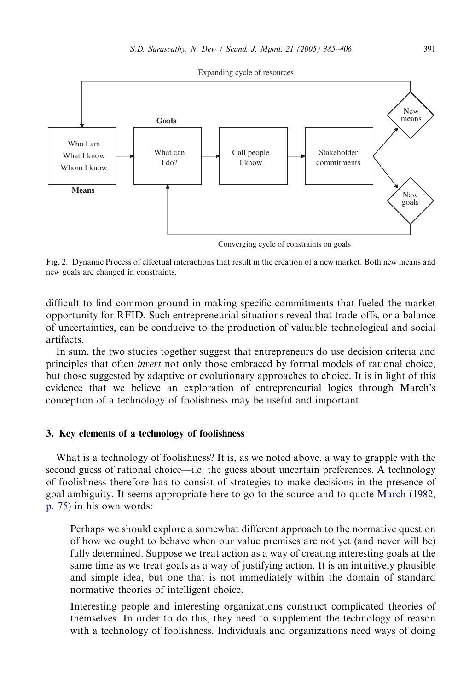<span id="page-6-0"></span>

Fig. 2. Dynamic Process of effectual interactions that result in the creation of a new market. Both new means and new goals are changed in constraints.

difficult to find common ground in making specific commitments that fueled the market opportunity for RFID. Such entrepreneurial situations reveal that trade-offs, or a balance of uncertainties, can be conducive to the production of valuable technological and social artifacts.

In sum, the two studies together suggest that entrepreneurs do use decision criteria and principles that often invert not only those embraced by formal models of rational choice, but those suggested by adaptive or evolutionary approaches to choice. It is in light of this evidence that we believe an exploration of entrepreneurial logics through March's conception of a technology of foolishness may be useful and important.

# 3. Key elements of a technology of foolishness

What is a technology of foolishness? It is, as we noted above, a way to grapple with the second guess of rational choice—i.e. the guess about uncertain preferences. A technology of foolishness therefore has to consist of strategies to make decisions in the presence of goal ambiguity. It seems appropriate here to go to the source and to quote [March \(1982,](#page-20-0) [p. 75\)](#page-20-0) in his own words:

Perhaps we should explore a somewhat different approach to the normative question of how we ought to behave when our value premises are not yet (and never will be) fully determined. Suppose we treat action as a way of creating interesting goals at the same time as we treat goals as a way of justifying action. It is an intuitively plausible and simple idea, but one that is not immediately within the domain of standard normative theories of intelligent choice.

Interesting people and interesting organizations construct complicated theories of themselves. In order to do this, they need to supplement the technology of reason with a technology of foolishness. Individuals and organizations need ways of doing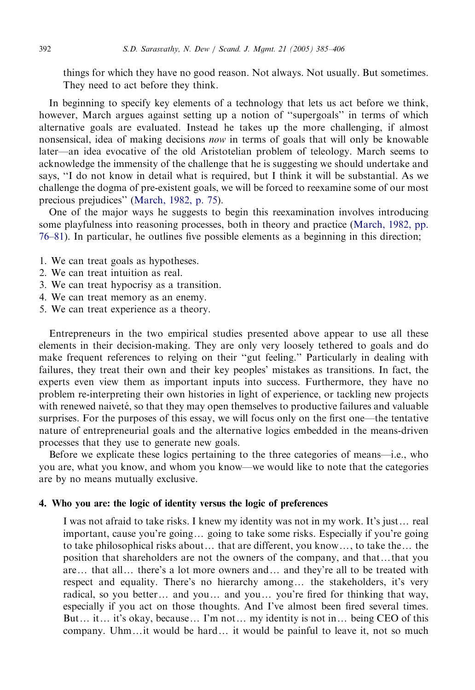things for which they have no good reason. Not always. Not usually. But sometimes. They need to act before they think.

In beginning to specify key elements of a technology that lets us act before we think, however, March argues against setting up a notion of ''supergoals'' in terms of which alternative goals are evaluated. Instead he takes up the more challenging, if almost nonsensical, idea of making decisions now in terms of goals that will only be knowable later—an idea evocative of the old Aristotelian problem of teleology. March seems to acknowledge the immensity of the challenge that he is suggesting we should undertake and says, ''I do not know in detail what is required, but I think it will be substantial. As we challenge the dogma of pre-existent goals, we will be forced to reexamine some of our most precious prejudices'' [\(March, 1982, p. 75](#page-20-0)).

One of the major ways he suggests to begin this reexamination involves introducing some playfulness into reasoning processes, both in theory and practice [\(March, 1982, pp.](#page-20-0) [76–81](#page-20-0)). In particular, he outlines five possible elements as a beginning in this direction;

- 1. We can treat goals as hypotheses.
- 2. We can treat intuition as real.
- 3. We can treat hypocrisy as a transition.
- 4. We can treat memory as an enemy.
- 5. We can treat experience as a theory.

Entrepreneurs in the two empirical studies presented above appear to use all these elements in their decision-making. They are only very loosely tethered to goals and do make frequent references to relying on their ''gut feeling.'' Particularly in dealing with failures, they treat their own and their key peoples' mistakes as transitions. In fact, the experts even view them as important inputs into success. Furthermore, they have no problem re-interpreting their own histories in light of experience, or tackling new projects with renewed naiveté, so that they may open themselves to productive failures and valuable surprises. For the purposes of this essay, we will focus only on the first one—the tentative nature of entrepreneurial goals and the alternative logics embedded in the means-driven processes that they use to generate new goals.

Before we explicate these logics pertaining to the three categories of means—i.e., who you are, what you know, and whom you know—we would like to note that the categories are by no means mutually exclusive.

### 4. Who you are: the logic of identity versus the logic of preferences

I was not afraid to take risks. I knew my identity was not in my work. It's just... real important, cause you're going... going to take some risks. Especially if you're going to take philosophical risks about... that are different, you know..., to take the... the position that shareholders are not the owners of the company, and that...that you are... that all... there's a lot more owners and... and they're all to be treated with respect and equality. There's no hierarchy among... the stakeholders, it's very radical, so you better... and you... and you... you're fired for thinking that way, especially if you act on those thoughts. And I've almost been fired several times. But... it... it's okay, because... I'm not... my identity is not in... being CEO of this company. Uhm...it would be hard... it would be painful to leave it, not so much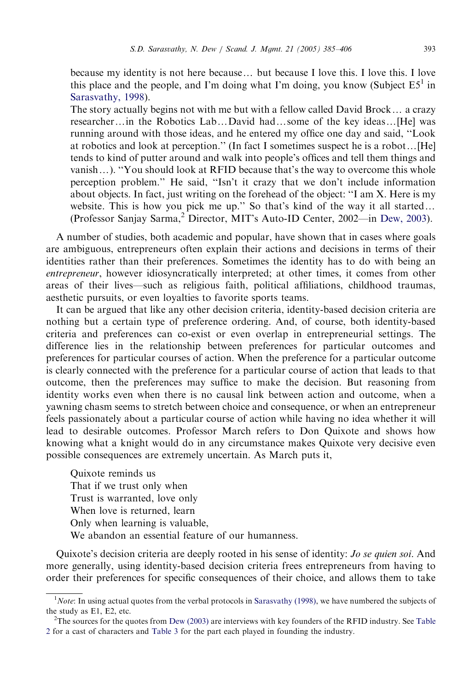because my identity is not here because... but because I love this. I love this. I love this place and the people, and I'm doing what I'm doing, you know (Subject  $E5<sup>1</sup>$  in [Sarasvathy, 1998](#page-20-0)).

The story actually begins not with me but with a fellow called David Brock $\ldots$  a crazy researcher...in the Robotics Lab...David had...some of the key ideas... [He] was running around with those ideas, and he entered my office one day and said, ''Look at robotics and look at perception." (In fact I sometimes suspect he is a robot... [He] tends to kind of putter around and walk into people's offices and tell them things and vanish $\ldots$ ). "You should look at RFID because that's the way to overcome this whole perception problem.'' He said, ''Isn't it crazy that we don't include information about objects. In fact, just writing on the forehead of the object: ''I am X. Here is my website. This is how you pick me up." So that's kind of the way it all started... (Professor Sanjay Sarma,<sup>2</sup> Director, MIT's Auto-ID Center, 2002—in [Dew, 2003](#page-20-0)).

A number of studies, both academic and popular, have shown that in cases where goals are ambiguous, entrepreneurs often explain their actions and decisions in terms of their identities rather than their preferences. Sometimes the identity has to do with being an entrepreneur, however idiosyncratically interpreted; at other times, it comes from other areas of their lives—such as religious faith, political affiliations, childhood traumas, aesthetic pursuits, or even loyalties to favorite sports teams.

It can be argued that like any other decision criteria, identity-based decision criteria are nothing but a certain type of preference ordering. And, of course, both identity-based criteria and preferences can co-exist or even overlap in entrepreneurial settings. The difference lies in the relationship between preferences for particular outcomes and preferences for particular courses of action. When the preference for a particular outcome is clearly connected with the preference for a particular course of action that leads to that outcome, then the preferences may suffice to make the decision. But reasoning from identity works even when there is no causal link between action and outcome, when a yawning chasm seems to stretch between choice and consequence, or when an entrepreneur feels passionately about a particular course of action while having no idea whether it will lead to desirable outcomes. Professor March refers to Don Quixote and shows how knowing what a knight would do in any circumstance makes Quixote very decisive even possible consequences are extremely uncertain. As March puts it,

Quixote reminds us That if we trust only when Trust is warranted, love only When love is returned, learn Only when learning is valuable, We abandon an essential feature of our humanness.

Quixote's decision criteria are deeply rooted in his sense of identity: *Jo se quien soi*. And more generally, using identity-based decision criteria frees entrepreneurs from having to order their preferences for specific consequences of their choice, and allows them to take

 $1$ Note: In using actual quotes from the verbal protocols in [Sarasvathy \(1998\)](#page-20-0), we have numbered the subjects of the study as E1, E2, etc.

<sup>&</sup>lt;sup>2</sup>The sources for the quotes from [Dew \(2003\)](#page-20-0) are interviews with key founders of the RFID industry. See [Table](#page-9-0) [2](#page-9-0) for a cast of characters and [Table 3](#page-10-0) for the part each played in founding the industry.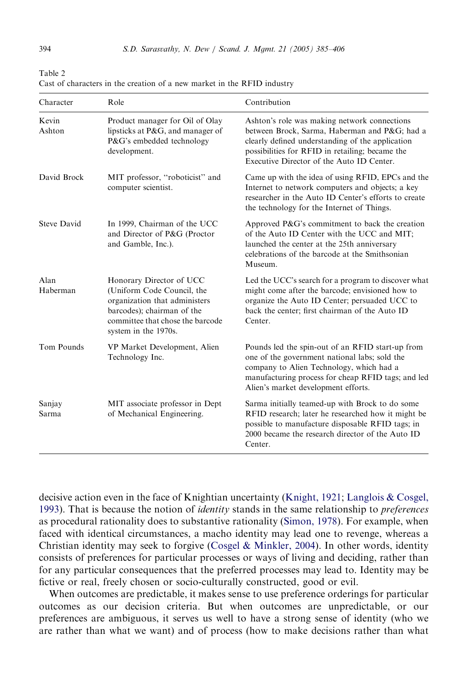| Character          | Role                                                                                                                                                                              | Contribution                                                                                                                                                                                                                                     |
|--------------------|-----------------------------------------------------------------------------------------------------------------------------------------------------------------------------------|--------------------------------------------------------------------------------------------------------------------------------------------------------------------------------------------------------------------------------------------------|
| Kevin<br>Ashton    | Product manager for Oil of Olay<br>lipsticks at P&G, and manager of<br>P&G's embedded technology<br>development.                                                                  | Ashton's role was making network connections<br>between Brock, Sarma, Haberman and P&G had a<br>clearly defined understanding of the application<br>possibilities for RFID in retailing; became the<br>Executive Director of the Auto ID Center. |
| David Brock        | MIT professor, "roboticist" and<br>computer scientist.                                                                                                                            | Came up with the idea of using RFID, EPCs and the<br>Internet to network computers and objects; a key<br>researcher in the Auto ID Center's efforts to create<br>the technology for the Internet of Things.                                      |
| <b>Steve David</b> | In 1999, Chairman of the UCC<br>and Director of P&G (Proctor<br>and Gamble, Inc.).                                                                                                | Approved P&G's commitment to back the creation<br>of the Auto ID Center with the UCC and MIT;<br>launched the center at the 25th anniversary<br>celebrations of the barcode at the Smithsonian<br>Museum.                                        |
| Alan<br>Haberman   | Honorary Director of UCC<br>(Uniform Code Council, the<br>organization that administers<br>barcodes); chairman of the<br>committee that chose the barcode<br>system in the 1970s. | Led the UCC's search for a program to discover what<br>might come after the barcode; envisioned how to<br>organize the Auto ID Center; persuaded UCC to<br>back the center; first chairman of the Auto ID<br>Center.                             |
| Tom Pounds         | VP Market Development, Alien<br>Technology Inc.                                                                                                                                   | Pounds led the spin-out of an RFID start-up from<br>one of the government national labs; sold the<br>company to Alien Technology, which had a<br>manufacturing process for cheap RFID tags; and led<br>Alien's market development efforts.       |
| Sanjay<br>Sarma    | MIT associate professor in Dept<br>of Mechanical Engineering.                                                                                                                     | Sarma initially teamed-up with Brock to do some<br>RFID research; later he researched how it might be<br>possible to manufacture disposable RFID tags; in<br>2000 became the research director of the Auto ID<br>Center.                         |

<span id="page-9-0"></span>Table 2 Cast of characters in the creation of a new market in the RFID industry

decisive action even in the face of Knightian uncertainty [\(Knight, 1921;](#page-20-0) [Langlois & Cosgel,](#page-20-0) [1993](#page-20-0)). That is because the notion of *identity* stands in the same relationship to *preferences* as procedural rationality does to substantive rationality ([Simon, 1978](#page-21-0)). For example, when faced with identical circumstances, a macho identity may lead one to revenge, whereas a Christian identity may seek to forgive ([Cosgel](#page-20-0) [& Minkler, 2004\)](#page-20-0). In other words, identity consists of preferences for particular processes or ways of living and deciding, rather than for any particular consequences that the preferred processes may lead to. Identity may be fictive or real, freely chosen or socio-culturally constructed, good or evil.

When outcomes are predictable, it makes sense to use preference orderings for particular outcomes as our decision criteria. But when outcomes are unpredictable, or our preferences are ambiguous, it serves us well to have a strong sense of identity (who we are rather than what we want) and of process (how to make decisions rather than what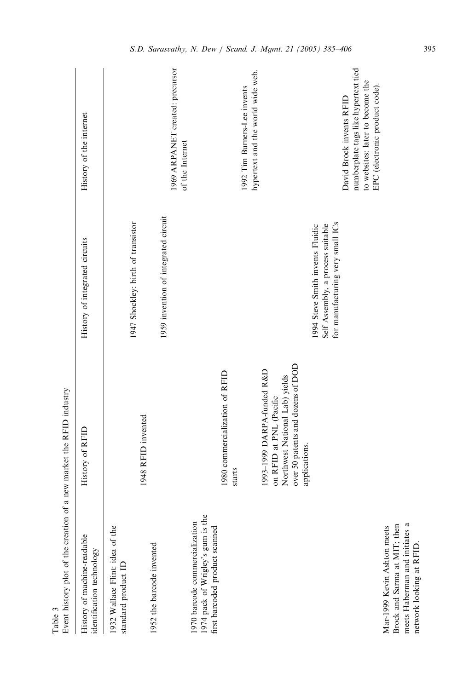<span id="page-10-0"></span>

| Event history plot of the creation<br>Table 3                                                                            | of a new market the RFID industry                                                                                                             |                                                                                                           |                                                                                                                                        |
|--------------------------------------------------------------------------------------------------------------------------|-----------------------------------------------------------------------------------------------------------------------------------------------|-----------------------------------------------------------------------------------------------------------|----------------------------------------------------------------------------------------------------------------------------------------|
| History of machine-readable<br>identification technology                                                                 | History of RFID                                                                                                                               | History of integrated circuits                                                                            | History of the internet                                                                                                                |
| 1932 Wallace Flint: idea of the<br>standard product ID                                                                   | 1948 RFID invented                                                                                                                            | 1947 Shockley: birth of transistor                                                                        |                                                                                                                                        |
| 1952 the barcode invented                                                                                                |                                                                                                                                               | 1959 invention of integrated circuit                                                                      | 1969 ARPANET created: precursor                                                                                                        |
| 1974 pack of Wrigley's gum is the<br>1970 barcode commercialization<br>first barcoded product scanned                    |                                                                                                                                               |                                                                                                           | of the Internet                                                                                                                        |
|                                                                                                                          | 1980 commercialization of RFID<br>starts                                                                                                      |                                                                                                           |                                                                                                                                        |
|                                                                                                                          | over 50 patents and dozens of DOD<br>1993-1999 DARPA-funded R&D<br>Northwest National Lab) yields<br>on RFID at PNL (Pacific<br>applications. |                                                                                                           | hypertext and the world wide web.<br>1992 Tim Burners-Lee invents                                                                      |
|                                                                                                                          |                                                                                                                                               | for manufacturing very small ICs<br>Self Assembly, a process suitable<br>1994 Steve Smith invents Fluidic | numberplate tags like hypertext tied<br>to websites: later to become the<br>EPC (electronic product code).<br>David Brock invents RFID |
| Brock and Sarma at MIT; then<br>meets Haberman and initiates a<br>Mar-1999 Kevin Ashton meets<br>network looking at RFID |                                                                                                                                               |                                                                                                           |                                                                                                                                        |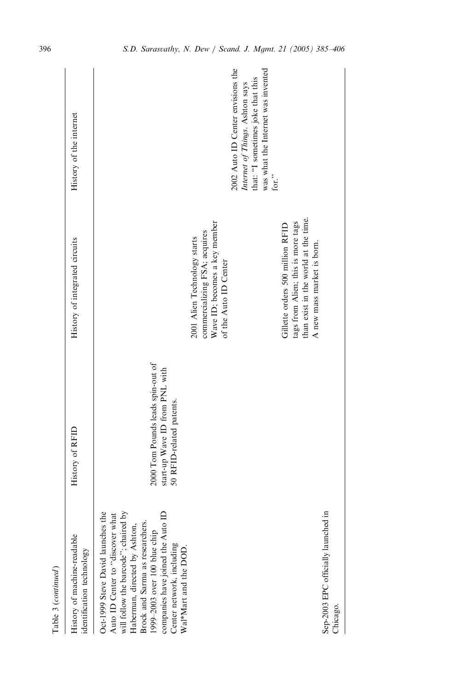| Table 3 (continued)                                                                                                                                                                                               |                                                            |                                                                                                                                              |                                                                                                                                                                 |
|-------------------------------------------------------------------------------------------------------------------------------------------------------------------------------------------------------------------|------------------------------------------------------------|----------------------------------------------------------------------------------------------------------------------------------------------|-----------------------------------------------------------------------------------------------------------------------------------------------------------------|
| History of machine-readable<br>identification technology                                                                                                                                                          | History of RFID                                            | History of integrated circuits                                                                                                               | History of the internet                                                                                                                                         |
| Oct-1999 Steve David launches the<br>Auto ID Center to "discover what<br>will follow the barcode"; chaired by<br>Brock and Sarma as researchers.<br>Haberman, directed by Ashton,<br>1999-2003 over 100 blue chip | 2000 Tom Pounds leads spin-out of                          |                                                                                                                                              |                                                                                                                                                                 |
| companies have joined the Auto II<br>Center network, including<br>Wal*Mart and the DOD.                                                                                                                           | start-up Wave ID from PNL with<br>50 RFID-related patents. |                                                                                                                                              |                                                                                                                                                                 |
|                                                                                                                                                                                                                   |                                                            | Wave ID; becomes a key member<br>commercializing FSA; acquires<br>2001 Alien Technology starts<br>of the Auto ID Center                      |                                                                                                                                                                 |
|                                                                                                                                                                                                                   |                                                            |                                                                                                                                              | 2002 Auto ID Center envisions the<br>was what the Internet was invented<br>that: "I sometimes joke that this<br>Internet of Things. Ashton says<br>for. $\cdot$ |
|                                                                                                                                                                                                                   |                                                            | than exist in the world at the time.<br>tags from Alien; this is more tags<br>Gillette orders 500 million RFID<br>A new mass market is born. |                                                                                                                                                                 |
| Sep-2003 EPC officially launched in<br>Chicago.                                                                                                                                                                   |                                                            |                                                                                                                                              |                                                                                                                                                                 |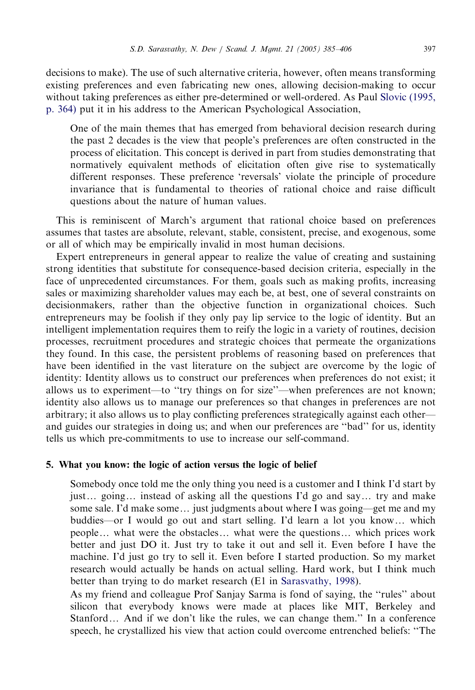decisions to make). The use of such alternative criteria, however, often means transforming existing preferences and even fabricating new ones, allowing decision-making to occur without taking preferences as either pre-determined or well-ordered. As Paul [Slovic \(1995,](#page-21-0) [p. 364\)](#page-21-0) put it in his address to the American Psychological Association,

One of the main themes that has emerged from behavioral decision research during the past 2 decades is the view that people's preferences are often constructed in the process of elicitation. This concept is derived in part from studies demonstrating that normatively equivalent methods of elicitation often give rise to systematically different responses. These preference 'reversals' violate the principle of procedure invariance that is fundamental to theories of rational choice and raise difficult questions about the nature of human values.

This is reminiscent of March's argument that rational choice based on preferences assumes that tastes are absolute, relevant, stable, consistent, precise, and exogenous, some or all of which may be empirically invalid in most human decisions.

Expert entrepreneurs in general appear to realize the value of creating and sustaining strong identities that substitute for consequence-based decision criteria, especially in the face of unprecedented circumstances. For them, goals such as making profits, increasing sales or maximizing shareholder values may each be, at best, one of several constraints on decisionmakers, rather than the objective function in organizational choices. Such entrepreneurs may be foolish if they only pay lip service to the logic of identity. But an intelligent implementation requires them to reify the logic in a variety of routines, decision processes, recruitment procedures and strategic choices that permeate the organizations they found. In this case, the persistent problems of reasoning based on preferences that have been identified in the vast literature on the subject are overcome by the logic of identity: Identity allows us to construct our preferences when preferences do not exist; it allows us to experiment—to ''try things on for size''—when preferences are not known; identity also allows us to manage our preferences so that changes in preferences are not arbitrary; it also allows us to play conflicting preferences strategically against each other and guides our strategies in doing us; and when our preferences are ''bad'' for us, identity tells us which pre-commitments to use to increase our self-command.

# 5. What you know: the logic of action versus the logic of belief

Somebody once told me the only thing you need is a customer and I think I'd start by just... going... instead of asking all the questions I'd go and say... try and make some sale. I'd make some... just judgments about where I was going—get me and my buddies—or I would go out and start selling. I'd learn a lot you know... which people... what were the obstacles... what were the questions... which prices work better and just DO it. Just try to take it out and sell it. Even before I have the machine. I'd just go try to sell it. Even before I started production. So my market research would actually be hands on actual selling. Hard work, but I think much better than trying to do market research (E1 in [Sarasvathy, 1998](#page-20-0)).

As my friend and colleague Prof Sanjay Sarma is fond of saying, the ''rules'' about silicon that everybody knows were made at places like MIT, Berkeley and Stanford... And if we don't like the rules, we can change them." In a conference speech, he crystallized his view that action could overcome entrenched beliefs: ''The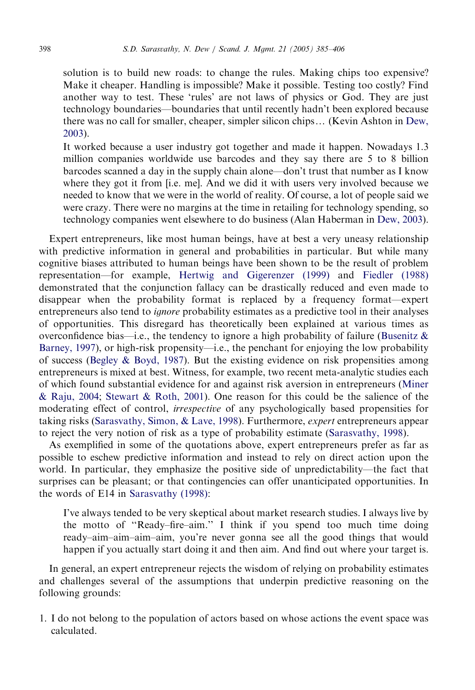solution is to build new roads: to change the rules. Making chips too expensive? Make it cheaper. Handling is impossible? Make it possible. Testing too costly? Find another way to test. These 'rules' are not laws of physics or God. They are just technology boundaries—boundaries that until recently hadn't been explored because there was no call for smaller, cheaper, simpler silicon chips... (Kevin Ashton in [Dew,](#page-20-0) [2003](#page-20-0)).

It worked because a user industry got together and made it happen. Nowadays 1.3 million companies worldwide use barcodes and they say there are 5 to 8 billion barcodes scanned a day in the supply chain alone—don't trust that number as I know where they got it from [i.e. me]. And we did it with users very involved because we needed to know that we were in the world of reality. Of course, a lot of people said we were crazy. There were no margins at the time in retailing for technology spending, so technology companies went elsewhere to do business (Alan Haberman in [Dew, 2003](#page-20-0)).

Expert entrepreneurs, like most human beings, have at best a very uneasy relationship with predictive information in general and probabilities in particular. But while many cognitive biases attributed to human beings have been shown to be the result of problem representation—for example, [Hertwig and Gigerenzer \(1999\)](#page-20-0) and [Fiedler \(1988\)](#page-20-0) demonstrated that the conjunction fallacy can be drastically reduced and even made to disappear when the probability format is replaced by a frequency format—expert entrepreneurs also tend to *ignore* probability estimates as a predictive tool in their analyses of opportunities. This disregard has theoretically been explained at various times as overconfidence bias—i.e., the tendency to ignore a high probability of failure (Busenitz  $\&$ [Barney, 1997](#page-20-0)), or high-risk propensity—i.e., the penchant for enjoying the low probability of success [\(Begley](#page-20-0) & [Boyd, 1987](#page-20-0)). But the existing evidence on risk propensities among entrepreneurs is mixed at best. Witness, for example, two recent meta-analytic studies each of which found substantial evidence for and against risk aversion in entrepreneurs [\(Miner](#page-20-0) [& Raju, 2004;](#page-20-0) [Stewart & Roth, 2001](#page-21-0)). One reason for this could be the salience of the moderating effect of control, irrespective of any psychologically based propensities for taking risks [\(Sarasvathy, Simon,](#page-21-0) [& Lave, 1998\)](#page-21-0). Furthermore, *expert* entrepreneurs appear to reject the very notion of risk as a type of probability estimate [\(Sarasvathy, 1998](#page-20-0)).

As exemplified in some of the quotations above, expert entrepreneurs prefer as far as possible to eschew predictive information and instead to rely on direct action upon the world. In particular, they emphasize the positive side of unpredictability—the fact that surprises can be pleasant; or that contingencies can offer unanticipated opportunities. In the words of E14 in [Sarasvathy \(1998\):](#page-20-0)

I've always tended to be very skeptical about market research studies. I always live by the motto of ''Ready–fire–aim.'' I think if you spend too much time doing ready–aim–aim–aim–aim, you're never gonna see all the good things that would happen if you actually start doing it and then aim. And find out where your target is.

In general, an expert entrepreneur rejects the wisdom of relying on probability estimates and challenges several of the assumptions that underpin predictive reasoning on the following grounds:

1. I do not belong to the population of actors based on whose actions the event space was calculated.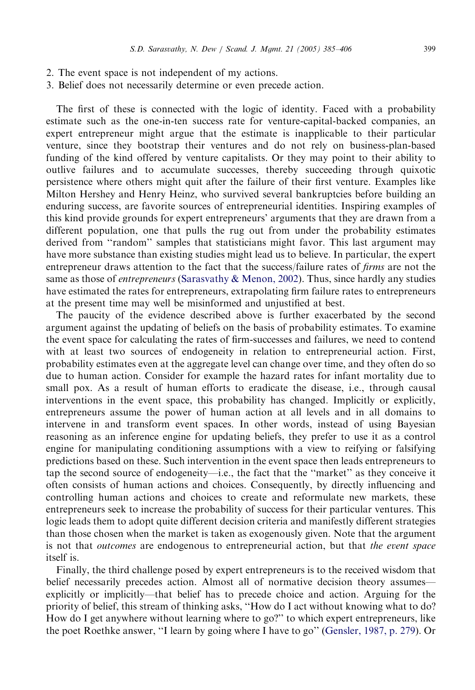- 2. The event space is not independent of my actions.
- 3. Belief does not necessarily determine or even precede action.

The first of these is connected with the logic of identity. Faced with a probability estimate such as the one-in-ten success rate for venture-capital-backed companies, an expert entrepreneur might argue that the estimate is inapplicable to their particular venture, since they bootstrap their ventures and do not rely on business-plan-based funding of the kind offered by venture capitalists. Or they may point to their ability to outlive failures and to accumulate successes, thereby succeeding through quixotic persistence where others might quit after the failure of their first venture. Examples like Milton Hershey and Henry Heinz, who survived several bankruptcies before building an enduring success, are favorite sources of entrepreneurial identities. Inspiring examples of this kind provide grounds for expert entrepreneurs' arguments that they are drawn from a different population, one that pulls the rug out from under the probability estimates derived from "random" samples that statisticians might favor. This last argument may have more substance than existing studies might lead us to believe. In particular, the expert entrepreneur draws attention to the fact that the success/failure rates of *firms* are not the same as those of *entrepreneurs* ([Sarasvathy](#page-20-0) & [Menon, 2002](#page-20-0)). Thus, since hardly any studies have estimated the rates for entrepreneurs, extrapolating firm failure rates to entrepreneurs at the present time may well be misinformed and unjustified at best.

The paucity of the evidence described above is further exacerbated by the second argument against the updating of beliefs on the basis of probability estimates. To examine the event space for calculating the rates of firm-successes and failures, we need to contend with at least two sources of endogeneity in relation to entrepreneurial action. First, probability estimates even at the aggregate level can change over time, and they often do so due to human action. Consider for example the hazard rates for infant mortality due to small pox. As a result of human efforts to eradicate the disease, i.e., through causal interventions in the event space, this probability has changed. Implicitly or explicitly, entrepreneurs assume the power of human action at all levels and in all domains to intervene in and transform event spaces. In other words, instead of using Bayesian reasoning as an inference engine for updating beliefs, they prefer to use it as a control engine for manipulating conditioning assumptions with a view to reifying or falsifying predictions based on these. Such intervention in the event space then leads entrepreneurs to tap the second source of endogeneity—i.e., the fact that the ''market'' as they conceive it often consists of human actions and choices. Consequently, by directly influencing and controlling human actions and choices to create and reformulate new markets, these entrepreneurs seek to increase the probability of success for their particular ventures. This logic leads them to adopt quite different decision criteria and manifestly different strategies than those chosen when the market is taken as exogenously given. Note that the argument is not that *outcomes* are endogenous to entrepreneurial action, but that *the event space* itself is.

Finally, the third challenge posed by expert entrepreneurs is to the received wisdom that belief necessarily precedes action. Almost all of normative decision theory assumes explicitly or implicitly—that belief has to precede choice and action. Arguing for the priority of belief, this stream of thinking asks, ''How do I act without knowing what to do? How do I get anywhere without learning where to go?'' to which expert entrepreneurs, like the poet Roethke answer, ''I learn by going where I have to go'' [\(Gensler, 1987, p. 279](#page-20-0)). Or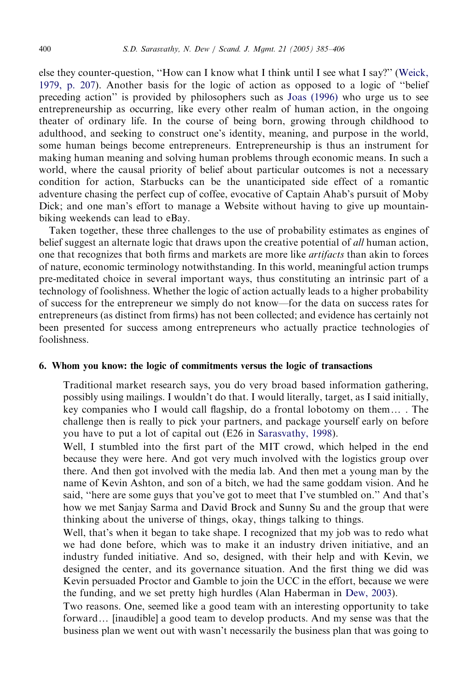else they counter-question, ''How can I know what I think until I see what I say?'' ([Weick,](#page-21-0) [1979, p. 207\)](#page-21-0). Another basis for the logic of action as opposed to a logic of ''belief preceding action'' is provided by philosophers such as [Joas \(1996\)](#page-20-0) who urge us to see entrepreneurship as occurring, like every other realm of human action, in the ongoing theater of ordinary life. In the course of being born, growing through childhood to adulthood, and seeking to construct one's identity, meaning, and purpose in the world, some human beings become entrepreneurs. Entrepreneurship is thus an instrument for making human meaning and solving human problems through economic means. In such a world, where the causal priority of belief about particular outcomes is not a necessary condition for action, Starbucks can be the unanticipated side effect of a romantic adventure chasing the perfect cup of coffee, evocative of Captain Ahab's pursuit of Moby Dick; and one man's effort to manage a Website without having to give up mountainbiking weekends can lead to eBay.

Taken together, these three challenges to the use of probability estimates as engines of belief suggest an alternate logic that draws upon the creative potential of *all* human action, one that recognizes that both firms and markets are more like *artifacts* than akin to forces of nature, economic terminology notwithstanding. In this world, meaningful action trumps pre-meditated choice in several important ways, thus constituting an intrinsic part of a technology of foolishness. Whether the logic of action actually leads to a higher probability of success for the entrepreneur we simply do not know—for the data on success rates for entrepreneurs (as distinct from firms) has not been collected; and evidence has certainly not been presented for success among entrepreneurs who actually practice technologies of foolishness.

#### 6. Whom you know: the logic of commitments versus the logic of transactions

Traditional market research says, you do very broad based information gathering, possibly using mailings. I wouldn't do that. I would literally, target, as I said initially, key companies who I would call flagship, do a frontal lobotomy on them $\dots$ . The challenge then is really to pick your partners, and package yourself early on before you have to put a lot of capital out (E26 in [Sarasvathy, 1998](#page-20-0)).

Well, I stumbled into the first part of the MIT crowd, which helped in the end because they were here. And got very much involved with the logistics group over there. And then got involved with the media lab. And then met a young man by the name of Kevin Ashton, and son of a bitch, we had the same goddam vision. And he said, ''here are some guys that you've got to meet that I've stumbled on.'' And that's how we met Sanjay Sarma and David Brock and Sunny Su and the group that were thinking about the universe of things, okay, things talking to things.

Well, that's when it began to take shape. I recognized that my job was to redo what we had done before, which was to make it an industry driven initiative, and an industry funded initiative. And so, designed, with their help and with Kevin, we designed the center, and its governance situation. And the first thing we did was Kevin persuaded Proctor and Gamble to join the UCC in the effort, because we were the funding, and we set pretty high hurdles (Alan Haberman in [Dew, 2003](#page-20-0)).

Two reasons. One, seemed like a good team with an interesting opportunity to take forward... [inaudible] a good team to develop products. And my sense was that the business plan we went out with wasn't necessarily the business plan that was going to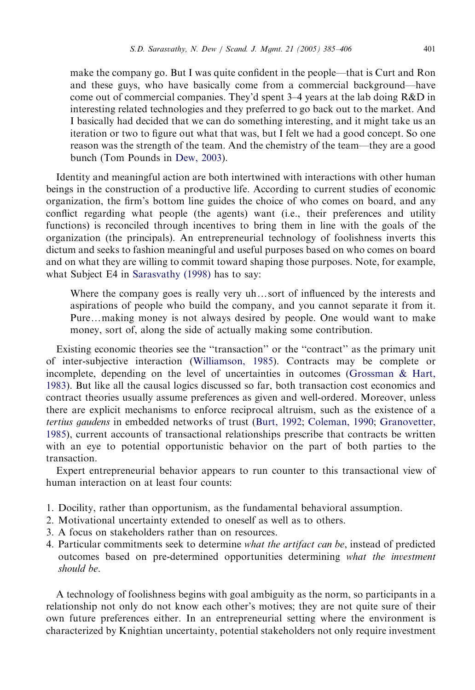make the company go. But I was quite confident in the people—that is Curt and Ron and these guys, who have basically come from a commercial background—have come out of commercial companies. They'd spent 3–4 years at the lab doing R&D in interesting related technologies and they preferred to go back out to the market. And I basically had decided that we can do something interesting, and it might take us an iteration or two to figure out what that was, but I felt we had a good concept. So one reason was the strength of the team. And the chemistry of the team—they are a good bunch (Tom Pounds in [Dew, 2003\)](#page-20-0).

Identity and meaningful action are both intertwined with interactions with other human beings in the construction of a productive life. According to current studies of economic organization, the firm's bottom line guides the choice of who comes on board, and any conflict regarding what people (the agents) want (i.e., their preferences and utility functions) is reconciled through incentives to bring them in line with the goals of the organization (the principals). An entrepreneurial technology of foolishness inverts this dictum and seeks to fashion meaningful and useful purposes based on who comes on board and on what they are willing to commit toward shaping those purposes. Note, for example, what Subject E4 in [Sarasvathy \(1998\)](#page-20-0) has to say:

Where the company goes is really very uh...sort of influenced by the interests and aspirations of people who build the company, and you cannot separate it from it. Pure...making money is not always desired by people. One would want to make money, sort of, along the side of actually making some contribution.

Existing economic theories see the ''transaction'' or the ''contract'' as the primary unit of inter-subjective interaction [\(Williamson, 1985](#page-21-0)). Contracts may be complete or incomplete, depending on the level of uncertainties in outcomes [\(Grossman](#page-20-0) [& Hart,](#page-20-0) [1983](#page-20-0)). But like all the causal logics discussed so far, both transaction cost economics and contract theories usually assume preferences as given and well-ordered. Moreover, unless there are explicit mechanisms to enforce reciprocal altruism, such as the existence of a tertius gaudens in embedded networks of trust ([Burt, 1992](#page-20-0); [Coleman, 1990](#page-20-0); [Granovetter,](#page-20-0) [1985](#page-20-0)), current accounts of transactional relationships prescribe that contracts be written with an eye to potential opportunistic behavior on the part of both parties to the transaction.

Expert entrepreneurial behavior appears to run counter to this transactional view of human interaction on at least four counts:

- 1. Docility, rather than opportunism, as the fundamental behavioral assumption.
- 2. Motivational uncertainty extended to oneself as well as to others.
- 3. A focus on stakeholders rather than on resources.
- 4. Particular commitments seek to determine what the artifact can be, instead of predicted outcomes based on pre-determined opportunities determining what the investment should be.

A technology of foolishness begins with goal ambiguity as the norm, so participants in a relationship not only do not know each other's motives; they are not quite sure of their own future preferences either. In an entrepreneurial setting where the environment is characterized by Knightian uncertainty, potential stakeholders not only require investment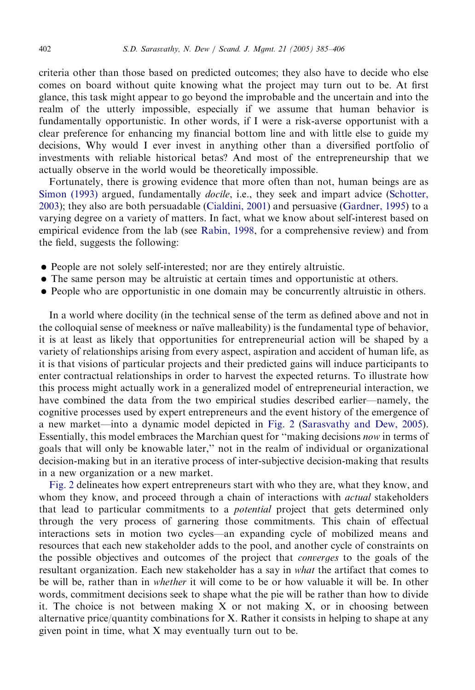criteria other than those based on predicted outcomes; they also have to decide who else comes on board without quite knowing what the project may turn out to be. At first glance, this task might appear to go beyond the improbable and the uncertain and into the realm of the utterly impossible, especially if we assume that human behavior is fundamentally opportunistic. In other words, if I were a risk-averse opportunist with a clear preference for enhancing my financial bottom line and with little else to guide my decisions, Why would I ever invest in anything other than a diversified portfolio of investments with reliable historical betas? And most of the entrepreneurship that we actually observe in the world would be theoretically impossible.

Fortunately, there is growing evidence that more often than not, human beings are as [Simon \(1993\)](#page-21-0) argued, fundamentally *docile*, i.e., they seek and impart advice ([Schotter,](#page-21-0) [2003](#page-21-0)); they also are both persuadable ([Cialdini, 2001](#page-20-0)) and persuasive ([Gardner, 1995\)](#page-20-0) to a varying degree on a variety of matters. In fact, what we know about self-interest based on empirical evidence from the lab (see [Rabin, 1998](#page-20-0), for a comprehensive review) and from the field, suggests the following:

- People are not solely self-interested; nor are they entirely altruistic.
- The same person may be altruistic at certain times and opportunistic at others.
- People who are opportunistic in one domain may be concurrently altruistic in others.

In a world where docility (in the technical sense of the term as defined above and not in the colloquial sense of meekness or naı̈ve malleability) is the fundamental type of behavior, it is at least as likely that opportunities for entrepreneurial action will be shaped by a variety of relationships arising from every aspect, aspiration and accident of human life, as it is that visions of particular projects and their predicted gains will induce participants to enter contractual relationships in order to harvest the expected returns. To illustrate how this process might actually work in a generalized model of entrepreneurial interaction, we have combined the data from the two empirical studies described earlier—namely, the cognitive processes used by expert entrepreneurs and the event history of the emergence of a new market—into a dynamic model depicted in [Fig. 2](#page-6-0) ([Sarasvathy and Dew, 2005](#page-20-0)). Essentially, this model embraces the Marchian quest for ''making decisions now in terms of goals that will only be knowable later,'' not in the realm of individual or organizational decision-making but in an iterative process of inter-subjective decision-making that results in a new organization or a new market.

[Fig. 2](#page-6-0) delineates how expert entrepreneurs start with who they are, what they know, and whom they know, and proceed through a chain of interactions with *actual* stakeholders that lead to particular commitments to a potential project that gets determined only through the very process of garnering those commitments. This chain of effectual interactions sets in motion two cycles—an expanding cycle of mobilized means and resources that each new stakeholder adds to the pool, and another cycle of constraints on the possible objectives and outcomes of the project that converges to the goals of the resultant organization. Each new stakeholder has a say in what the artifact that comes to be will be, rather than in whether it will come to be or how valuable it will be. In other words, commitment decisions seek to shape what the pie will be rather than how to divide it. The choice is not between making  $X$  or not making  $X$ , or in choosing between alternative price/quantity combinations for X. Rather it consists in helping to shape at any given point in time, what X may eventually turn out to be.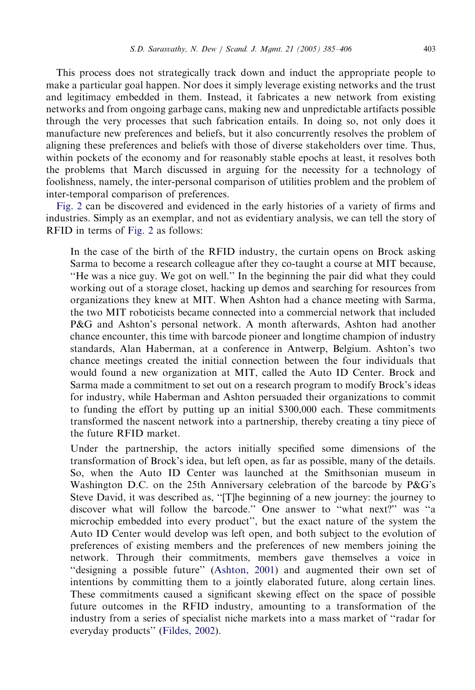This process does not strategically track down and induct the appropriate people to make a particular goal happen. Nor does it simply leverage existing networks and the trust and legitimacy embedded in them. Instead, it fabricates a new network from existing networks and from ongoing garbage cans, making new and unpredictable artifacts possible through the very processes that such fabrication entails. In doing so, not only does it manufacture new preferences and beliefs, but it also concurrently resolves the problem of aligning these preferences and beliefs with those of diverse stakeholders over time. Thus, within pockets of the economy and for reasonably stable epochs at least, it resolves both the problems that March discussed in arguing for the necessity for a technology of foolishness, namely, the inter-personal comparison of utilities problem and the problem of inter-temporal comparison of preferences.

[Fig. 2](#page-6-0) can be discovered and evidenced in the early histories of a variety of firms and industries. Simply as an exemplar, and not as evidentiary analysis, we can tell the story of RFID in terms of [Fig. 2](#page-6-0) as follows:

In the case of the birth of the RFID industry, the curtain opens on Brock asking Sarma to become a research colleague after they co-taught a course at MIT because, ''He was a nice guy. We got on well.'' In the beginning the pair did what they could working out of a storage closet, hacking up demos and searching for resources from organizations they knew at MIT. When Ashton had a chance meeting with Sarma, the two MIT roboticists became connected into a commercial network that included P&G and Ashton's personal network. A month afterwards, Ashton had another chance encounter, this time with barcode pioneer and longtime champion of industry standards, Alan Haberman, at a conference in Antwerp, Belgium. Ashton's two chance meetings created the initial connection between the four individuals that would found a new organization at MIT, called the Auto ID Center. Brock and Sarma made a commitment to set out on a research program to modify Brock's ideas for industry, while Haberman and Ashton persuaded their organizations to commit to funding the effort by putting up an initial \$300,000 each. These commitments transformed the nascent network into a partnership, thereby creating a tiny piece of the future RFID market.

Under the partnership, the actors initially specified some dimensions of the transformation of Brock's idea, but left open, as far as possible, many of the details. So, when the Auto ID Center was launched at the Smithsonian museum in Washington D.C. on the 25th Anniversary celebration of the barcode by P&G's Steve David, it was described as, ''[T]he beginning of a new journey: the journey to discover what will follow the barcode.'' One answer to ''what next?'' was ''a microchip embedded into every product'', but the exact nature of the system the Auto ID Center would develop was left open, and both subject to the evolution of preferences of existing members and the preferences of new members joining the network. Through their commitments, members gave themselves a voice in ''designing a possible future'' [\(Ashton, 2001\)](#page-20-0) and augmented their own set of intentions by committing them to a jointly elaborated future, along certain lines. These commitments caused a significant skewing effect on the space of possible future outcomes in the RFID industry, amounting to a transformation of the industry from a series of specialist niche markets into a mass market of ''radar for everyday products'' [\(Fildes, 2002\)](#page-20-0).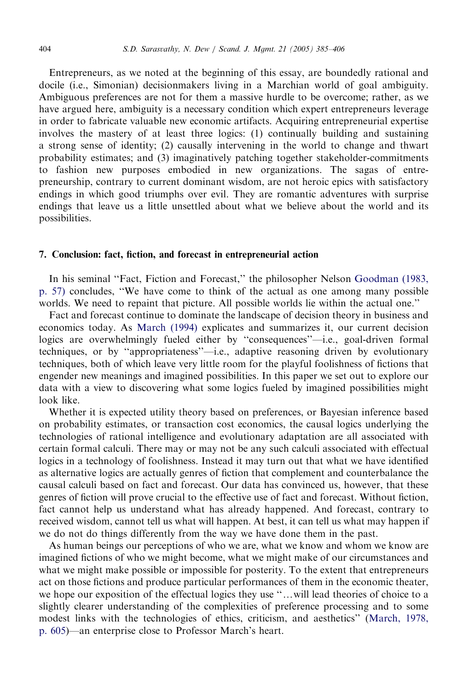Entrepreneurs, as we noted at the beginning of this essay, are boundedly rational and docile (i.e., Simonian) decisionmakers living in a Marchian world of goal ambiguity. Ambiguous preferences are not for them a massive hurdle to be overcome; rather, as we have argued here, ambiguity is a necessary condition which expert entrepreneurs leverage in order to fabricate valuable new economic artifacts. Acquiring entrepreneurial expertise involves the mastery of at least three logics: (1) continually building and sustaining a strong sense of identity; (2) causally intervening in the world to change and thwart probability estimates; and (3) imaginatively patching together stakeholder-commitments to fashion new purposes embodied in new organizations. The sagas of entrepreneurship, contrary to current dominant wisdom, are not heroic epics with satisfactory endings in which good triumphs over evil. They are romantic adventures with surprise endings that leave us a little unsettled about what we believe about the world and its possibilities.

#### 7. Conclusion: fact, fiction, and forecast in entrepreneurial action

In his seminal ''Fact, Fiction and Forecast,'' the philosopher Nelson [Goodman \(1983,](#page-20-0) [p. 57\)](#page-20-0) concludes, ''We have come to think of the actual as one among many possible worlds. We need to repaint that picture. All possible worlds lie within the actual one.''

Fact and forecast continue to dominate the landscape of decision theory in business and economics today. As [March \(1994\)](#page-20-0) explicates and summarizes it, our current decision logics are overwhelmingly fueled either by ''consequences''—i.e., goal-driven formal techniques, or by ''appropriateness''—i.e., adaptive reasoning driven by evolutionary techniques, both of which leave very little room for the playful foolishness of fictions that engender new meanings and imagined possibilities. In this paper we set out to explore our data with a view to discovering what some logics fueled by imagined possibilities might look like.

Whether it is expected utility theory based on preferences, or Bayesian inference based on probability estimates, or transaction cost economics, the causal logics underlying the technologies of rational intelligence and evolutionary adaptation are all associated with certain formal calculi. There may or may not be any such calculi associated with effectual logics in a technology of foolishness. Instead it may turn out that what we have identified as alternative logics are actually genres of fiction that complement and counterbalance the causal calculi based on fact and forecast. Our data has convinced us, however, that these genres of fiction will prove crucial to the effective use of fact and forecast. Without fiction, fact cannot help us understand what has already happened. And forecast, contrary to received wisdom, cannot tell us what will happen. At best, it can tell us what may happen if we do not do things differently from the way we have done them in the past.

As human beings our perceptions of who we are, what we know and whom we know are imagined fictions of who we might become, what we might make of our circumstances and what we might make possible or impossible for posterity. To the extent that entrepreneurs act on those fictions and produce particular performances of them in the economic theater, we hope our exposition of the effectual logics they use "...will lead theories of choice to a slightly clearer understanding of the complexities of preference processing and to some modest links with the technologies of ethics, criticism, and aesthetics'' [\(March, 1978,](#page-20-0) [p. 605\)](#page-20-0)—an enterprise close to Professor March's heart.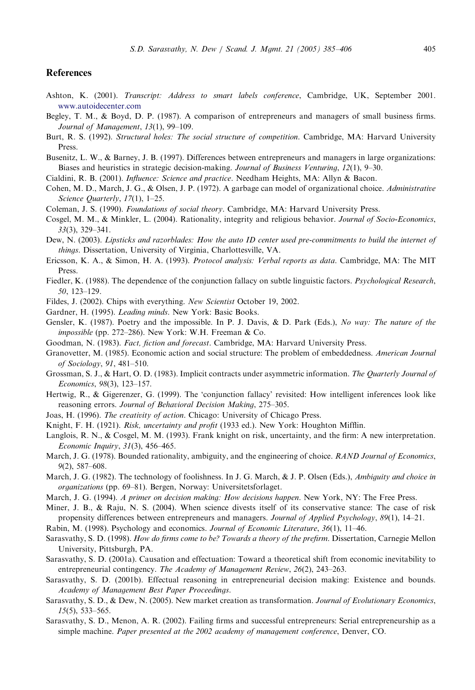#### <span id="page-20-0"></span>References

- Ashton, K. (2001). Transcript: Address to smart labels conference, Cambridge, UK, September 2001. [www.autoidecenter.com](http://www.autoidecenter.com)
- Begley, T. M., & Boyd, D. P. (1987). A comparison of entrepreneurs and managers of small business firms. Journal of Management, 13(1), 99–109.
- Burt, R. S. (1992). Structural holes: The social structure of competition. Cambridge, MA: Harvard University Press.
- Busenitz, L. W., & Barney, J. B. (1997). Differences between entrepreneurs and managers in large organizations: Biases and heuristics in strategic decision-making. Journal of Business Venturing, 12(1), 9–30.
- Cialdini, R. B. (2001). Influence: Science and practice. Needham Heights, MA: Allyn & Bacon.
- Cohen, M. D., March, J. G., & Olsen, J. P. (1972). A garbage can model of organizational choice. Administrative Science Quarterly, 17(1), 1-25.
- Coleman, J. S. (1990). Foundations of social theory. Cambridge, MA: Harvard University Press.
- Cosgel, M. M., & Minkler, L. (2004). Rationality, integrity and religious behavior. Journal of Socio-Economics, 33(3), 329–341.
- Dew, N. (2003). Lipsticks and razorblades: How the auto ID center used pre-commitments to build the internet of things. Dissertation, University of Virginia, Charlottesville, VA.
- Ericsson, K. A., & Simon, H. A. (1993). Protocol analysis: Verbal reports as data. Cambridge, MA: The MIT Press.
- Fiedler, K. (1988). The dependence of the conjunction fallacy on subtle linguistic factors. *Psychological Research*, 50, 123–129.
- Fildes, J. (2002). Chips with everything. New Scientist October 19, 2002.
- Gardner, H. (1995). Leading minds. New York: Basic Books.
- Gensler, K. (1987). Poetry and the impossible. In P. J. Davis, & D. Park (Eds.), No way: The nature of the impossible (pp. 272–286). New York: W.H. Freeman & Co.
- Goodman, N. (1983). Fact, fiction and forecast. Cambridge, MA: Harvard University Press.
- Granovetter, M. (1985). Economic action and social structure: The problem of embeddedness. American Journal of Sociology, 91, 481–510.
- Grossman, S. J., & Hart, O. D. (1983). Implicit contracts under asymmetric information. The Quarterly Journal of Economics, 98(3), 123–157.
- Hertwig, R., & Gigerenzer, G. (1999). The 'conjunction fallacy' revisited: How intelligent inferences look like reasoning errors. Journal of Behavioral Decision Making, 275–305.
- Joas, H. (1996). The creativity of action. Chicago: University of Chicago Press.
- Knight, F. H. (1921). Risk, uncertainty and profit (1933 ed.). New York: Houghton Mifflin.
- Langlois, R. N., & Cosgel, M. M. (1993). Frank knight on risk, uncertainty, and the firm: A new interpretation. Economic Inquiry, 31(3), 456–465.
- March, J. G. (1978). Bounded rationality, ambiguity, and the engineering of choice. RAND Journal of Economics, 9(2), 587–608.
- March, J. G. (1982). The technology of foolishness. In J. G. March, & J. P. Olsen (Eds.), Ambiguity and choice in organizations (pp. 69–81). Bergen, Norway: Universitetsforlaget.
- March, J. G. (1994). A primer on decision making: How decisions happen. New York, NY: The Free Press.
- Miner, J. B., & Raju, N. S. (2004). When science divests itself of its conservative stance: The case of risk propensity differences between entrepreneurs and managers. Journal of Applied Psychology, 89(1), 14–21.
- Rabin, M. (1998). Psychology and economics. Journal of Economic Literature, 36(1), 11–46.
- Sarasvathy, S. D. (1998). How do firms come to be? Towards a theory of the prefirm. Dissertation, Carnegie Mellon University, Pittsburgh, PA.
- Sarasvathy, S. D. (2001a). Causation and effectuation: Toward a theoretical shift from economic inevitability to entrepreneurial contingency. The Academy of Management Review, 26(2), 243–263.
- Sarasvathy, S. D. (2001b). Effectual reasoning in entrepreneurial decision making: Existence and bounds. Academy of Management Best Paper Proceedings.
- Sarasvathy, S. D., & Dew, N. (2005). New market creation as transformation. Journal of Evolutionary Economics, 15(5), 533–565.
- Sarasvathy, S. D., Menon, A. R. (2002). Failing firms and successful entrepreneurs: Serial entrepreneurship as a simple machine. Paper presented at the 2002 academy of management conference, Denver, CO.